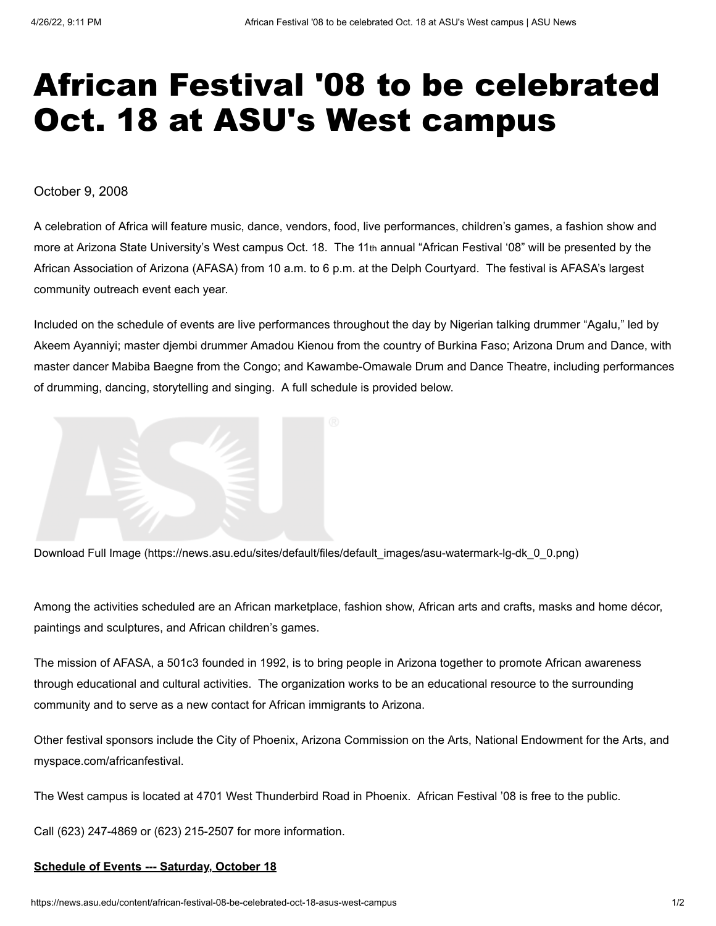## African Festival '08 to be celebrated Oct. 18 at ASU's West campus

October 9, 2008

A celebration of Africa will feature music, dance, vendors, food, live performances, children's games, a fashion show and more at Arizona State University's West campus Oct. 18. The 11th annual "African Festival '08" will be presented by the African Association of Arizona (AFASA) from 10 a.m. to 6 p.m. at the Delph Courtyard. The festival is AFASA's largest community outreach event each year.

Included on the schedule of events are live performances throughout the day by Nigerian talking drummer "Agalu," led by Akeem Ayanniyi; master djembi drummer Amadou Kienou from the country of Burkina Faso; Arizona Drum and Dance, with master dancer Mabiba Baegne from the Congo; and Kawambe-Omawale Drum and Dance Theatre, including performances of drumming, dancing, storytelling and singing. A full schedule is provided below.



[Download Full Image \(https://news.asu.edu/sites/default/files/default\\_images/asu-watermark-lg-dk\\_0\\_0.png\)](https://news.asu.edu/sites/default/files/default_images/asu-watermark-lg-dk_0_0.png)

Among the activities scheduled are an African marketplace, fashion show, African arts and crafts, masks and home décor, paintings and sculptures, and African children's games.

The mission of AFASA, a 501c3 founded in 1992, is to bring people in Arizona together to promote African awareness through educational and cultural activities. The organization works to be an educational resource to the surrounding community and to serve as a new contact for African immigrants to Arizona.

Other festival sponsors include the City of Phoenix, Arizona Commission on the Arts, National Endowment for the Arts, and myspace.com/africanfestival.

The West campus is located at 4701 West Thunderbird Road in Phoenix. African Festival '08 is free to the public.

Call (623) 247-4869 or (623) 215-2507 for more information.

## **Schedule of Events --- Saturday, October 18**